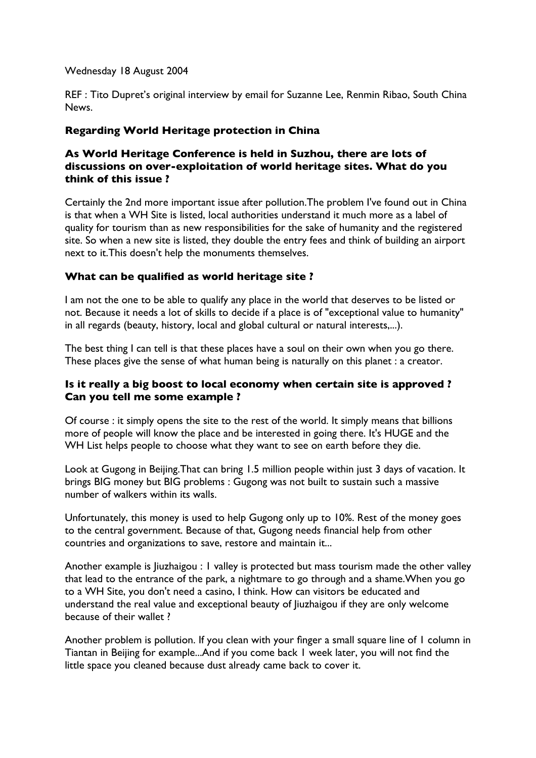Wednesday 18 August 2004

REF : Tito Dupret's original interview by email for Suzanne Lee, Renmin Ribao, South China News.

# **Regarding World Heritage protection in China**

## **As World Heritage Conference is held in Suzhou, there are lots of discussions on over-exploitation of world heritage sites. What do you think of this issue ?**

Certainly the 2nd more important issue after pollution.The problem I've found out in China is that when a WH Site is listed, local authorities understand it much more as a label of quality for tourism than as new responsibilities for the sake of humanity and the registered site. So when a new site is listed, they double the entry fees and think of building an airport next to it.This doesn't help the monuments themselves.

# **What can be qualified as world heritage site ?**

I am not the one to be able to qualify any place in the world that deserves to be listed or not. Because it needs a lot of skills to decide if a place is of "exceptional value to humanity" in all regards (beauty, history, local and global cultural or natural interests,...).

The best thing I can tell is that these places have a soul on their own when you go there. These places give the sense of what human being is naturally on this planet : a creator.

## **Is it really a big boost to local economy when certain site is approved ? Can you tell me some example ?**

Of course : it simply opens the site to the rest of the world. It simply means that billions more of people will know the place and be interested in going there. It's HUGE and the WH List helps people to choose what they want to see on earth before they die.

Look at Gugong in Beijing.That can bring 1.5 million people within just 3 days of vacation. It brings BIG money but BIG problems : Gugong was not built to sustain such a massive number of walkers within its walls.

Unfortunately, this money is used to help Gugong only up to 10%. Rest of the money goes to the central government. Because of that, Gugong needs financial help from other countries and organizations to save, restore and maintain it...

Another example is Jiuzhaigou : 1 valley is protected but mass tourism made the other valley that lead to the entrance of the park, a nightmare to go through and a shame.When you go to a WH Site, you don't need a casino, I think. How can visitors be educated and understand the real value and exceptional beauty of Jiuzhaigou if they are only welcome because of their wallet ?

Another problem is pollution. If you clean with your finger a small square line of 1 column in Tiantan in Beijing for example...And if you come back 1 week later, you will not find the little space you cleaned because dust already came back to cover it.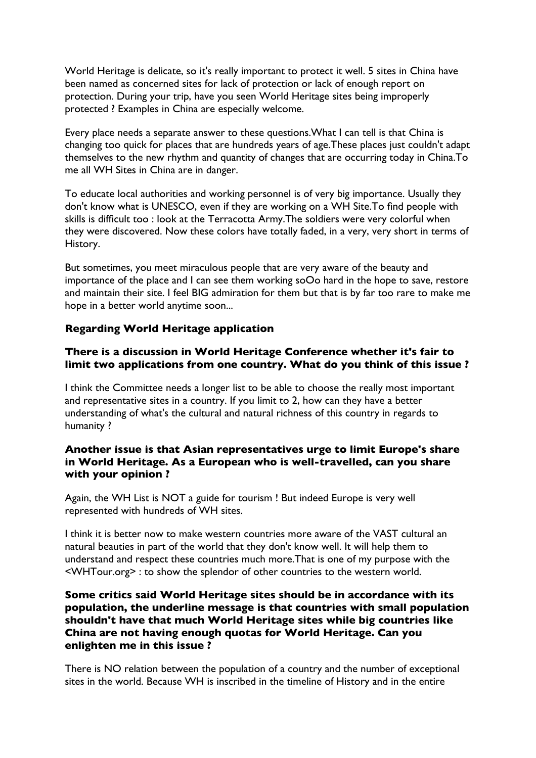World Heritage is delicate, so it's really important to protect it well. 5 sites in China have been named as concerned sites for lack of protection or lack of enough report on protection. During your trip, have you seen World Heritage sites being improperly protected ? Examples in China are especially welcome.

Every place needs a separate answer to these questions.What I can tell is that China is changing too quick for places that are hundreds years of age.These places just couldn't adapt themselves to the new rhythm and quantity of changes that are occurring today in China.To me all WH Sites in China are in danger.

To educate local authorities and working personnel is of very big importance. Usually they don't know what is UNESCO, even if they are working on a WH Site.To find people with skills is difficult too : look at the Terracotta Army.The soldiers were very colorful when they were discovered. Now these colors have totally faded, in a very, very short in terms of History.

But sometimes, you meet miraculous people that are very aware of the beauty and importance of the place and I can see them working soOo hard in the hope to save, restore and maintain their site. I feel BIG admiration for them but that is by far too rare to make me hope in a better world anytime soon...

## **Regarding World Heritage application**

#### **There is a discussion in World Heritage Conference whether it's fair to limit two applications from one country. What do you think of this issue ?**

I think the Committee needs a longer list to be able to choose the really most important and representative sites in a country. If you limit to 2, how can they have a better understanding of what's the cultural and natural richness of this country in regards to humanity ?

### **Another issue is that Asian representatives urge to limit Europe's share in World Heritage. As a European who is well-travelled, can you share with your opinion ?**

Again, the WH List is NOT a guide for tourism ! But indeed Europe is very well represented with hundreds of WH sites.

I think it is better now to make western countries more aware of the VAST cultural an natural beauties in part of the world that they don't know well. It will help them to understand and respect these countries much more.That is one of my purpose with the <WHTour.org> : to show the splendor of other countries to the western world.

### **Some critics said World Heritage sites should be in accordance with its population, the underline message is that countries with small population shouldn't have that much World Heritage sites while big countries like China are not having enough quotas for World Heritage. Can you enlighten me in this issue ?**

There is NO relation between the population of a country and the number of exceptional sites in the world. Because WH is inscribed in the timeline of History and in the entire